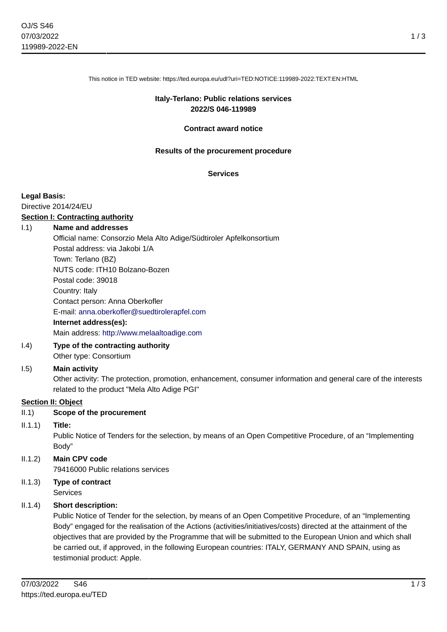This notice in TED website: https://ted.europa.eu/udl?uri=TED:NOTICE:119989-2022:TEXT:EN:HTML

# **Italy-Terlano: Public relations services 2022/S 046-119989**

#### **Contract award notice**

#### **Results of the procurement procedure**

#### **Services**

#### **Legal Basis:**

Directive 2014/24/EU

#### **Section I: Contracting authority**

#### I.1) **Name and addresses**

Official name: Consorzio Mela Alto Adige/Südtiroler Apfelkonsortium Postal address: via Jakobi 1/A Town: Terlano (BZ) NUTS code: ITH10 Bolzano-Bozen Postal code: 39018 Country: Italy Contact person: Anna Oberkofler E-mail: [anna.oberkofler@suedtirolerapfel.com](mailto:anna.oberkofler@suedtirolerapfel.com) **Internet address(es):** Main address:<http://www.melaaltoadige.com>

I.4) **Type of the contracting authority** Other type: Consortium

## I.5) **Main activity**

Other activity: The protection, promotion, enhancement, consumer information and general care of the interests related to the product "Mela Alto Adige PGI"

## **Section II: Object**

## II.1) **Scope of the procurement**

## II.1.1) **Title:**

Public Notice of Tenders for the selection, by means of an Open Competitive Procedure, of an "Implementing Body"

# II.1.2) **Main CPV code**

79416000 Public relations services

II.1.3) **Type of contract** Services

# II.1.4) **Short description:**

Public Notice of Tender for the selection, by means of an Open Competitive Procedure, of an "Implementing Body" engaged for the realisation of the Actions (activities/initiatives/costs) directed at the attainment of the objectives that are provided by the Programme that will be submitted to the European Union and which shall be carried out, if approved, in the following European countries: ITALY, GERMANY AND SPAIN, using as testimonial product: Apple.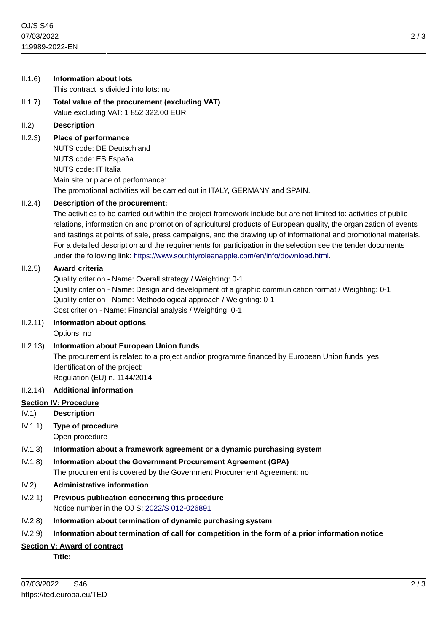| II.1.6)  | <b>Information about lots</b>                                                                                                                                                                                                                                                                                                                                                                                                                                                                                                                                                                      |
|----------|----------------------------------------------------------------------------------------------------------------------------------------------------------------------------------------------------------------------------------------------------------------------------------------------------------------------------------------------------------------------------------------------------------------------------------------------------------------------------------------------------------------------------------------------------------------------------------------------------|
|          | This contract is divided into lots: no                                                                                                                                                                                                                                                                                                                                                                                                                                                                                                                                                             |
| II.1.7)  | Total value of the procurement (excluding VAT)<br>Value excluding VAT: 1 852 322.00 EUR                                                                                                                                                                                                                                                                                                                                                                                                                                                                                                            |
| II.2)    | <b>Description</b>                                                                                                                                                                                                                                                                                                                                                                                                                                                                                                                                                                                 |
| II.2.3)  | Place of performance<br>NUTS code: DE Deutschland<br>NUTS code: ES España<br>NUTS code: IT Italia<br>Main site or place of performance:<br>The promotional activities will be carried out in ITALY, GERMANY and SPAIN.                                                                                                                                                                                                                                                                                                                                                                             |
| II.2.4)  | Description of the procurement:<br>The activities to be carried out within the project framework include but are not limited to: activities of public<br>relations, information on and promotion of agricultural products of European quality, the organization of events<br>and tastings at points of sale, press campaigns, and the drawing up of informational and promotional materials.<br>For a detailed description and the requirements for participation in the selection see the tender documents<br>under the following link: https://www.southtyroleanapple.com/en/info/download.html. |
| II.2.5)  | <b>Award criteria</b><br>Quality criterion - Name: Overall strategy / Weighting: 0-1<br>Quality criterion - Name: Design and development of a graphic communication format / Weighting: 0-1<br>Quality criterion - Name: Methodological approach / Weighting: 0-1<br>Cost criterion - Name: Financial analysis / Weighting: 0-1                                                                                                                                                                                                                                                                    |
| II.2.11) | Information about options<br>Options: no                                                                                                                                                                                                                                                                                                                                                                                                                                                                                                                                                           |
| II.2.13) | <b>Information about European Union funds</b><br>The procurement is related to a project and/or programme financed by European Union funds: yes<br>Identification of the project:<br>Regulation (EU) n. 1144/2014                                                                                                                                                                                                                                                                                                                                                                                  |
| II.2.14) | <b>Additional information</b>                                                                                                                                                                                                                                                                                                                                                                                                                                                                                                                                                                      |
|          | <b>Section IV: Procedure</b>                                                                                                                                                                                                                                                                                                                                                                                                                                                                                                                                                                       |
| IV.1)    | <b>Description</b>                                                                                                                                                                                                                                                                                                                                                                                                                                                                                                                                                                                 |
| IV.1.1)  | Type of procedure<br>Open procedure                                                                                                                                                                                                                                                                                                                                                                                                                                                                                                                                                                |
| IV.1.3)  | Information about a framework agreement or a dynamic purchasing system                                                                                                                                                                                                                                                                                                                                                                                                                                                                                                                             |
| IV.1.8)  | Information about the Government Procurement Agreement (GPA)<br>The procurement is covered by the Government Procurement Agreement: no                                                                                                                                                                                                                                                                                                                                                                                                                                                             |
| IV.2)    | <b>Administrative information</b>                                                                                                                                                                                                                                                                                                                                                                                                                                                                                                                                                                  |
| IV.2.1)  | Previous publication concerning this procedure<br>Notice number in the OJ S: 2022/S 012-026891                                                                                                                                                                                                                                                                                                                                                                                                                                                                                                     |
| IV.2.8)  | Information about termination of dynamic purchasing system                                                                                                                                                                                                                                                                                                                                                                                                                                                                                                                                         |
| IV.2.9)  | Information about termination of call for competition in the form of a prior information notice                                                                                                                                                                                                                                                                                                                                                                                                                                                                                                    |
|          |                                                                                                                                                                                                                                                                                                                                                                                                                                                                                                                                                                                                    |

# **Section V: Award of contract**

**Title:**